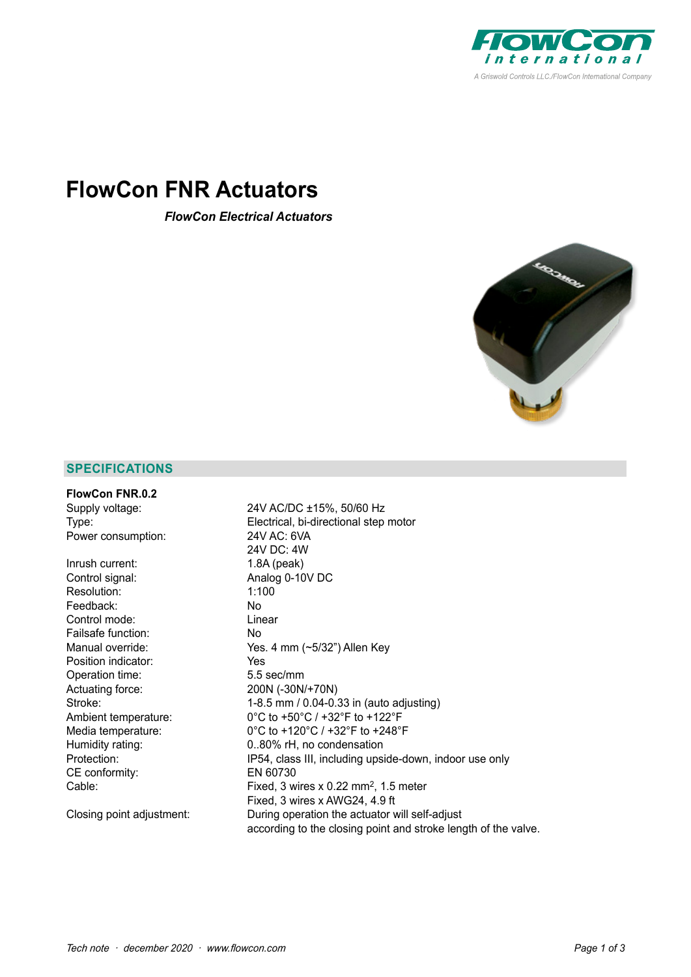

# **FlowCon FNR Actuators**

*FlowCon Electrical Actuators*



# **SPECIFICATIONS**

| <b>FlowCon FNR.0.2</b>    |                                                         |  |  |  |
|---------------------------|---------------------------------------------------------|--|--|--|
| Supply voltage:           | 24V AC/DC ±15%, 50/60 Hz                                |  |  |  |
| Type:                     | Electrical, bi-directional step motor                   |  |  |  |
| Power consumption:        | 24V AC: 6VA                                             |  |  |  |
|                           | 24V DC: 4W                                              |  |  |  |
| Inrush current:           | $1.8A$ (peak)                                           |  |  |  |
| Control signal:           | Analog 0-10V DC                                         |  |  |  |
| Resolution:               | 1:100                                                   |  |  |  |
| Feedback:                 | No.                                                     |  |  |  |
| Control mode:             | Linear                                                  |  |  |  |
| Failsafe function:        | No.                                                     |  |  |  |
| Manual override:          | Yes. 4 mm (~5/32") Allen Key                            |  |  |  |
| Position indicator:       | Yes                                                     |  |  |  |
| Operation time:           | 5.5 sec/mm                                              |  |  |  |
| Actuating force:          | 200N (-30N/+70N)                                        |  |  |  |
| Stroke:                   | 1-8.5 mm / 0.04-0.33 in (auto adjusting)                |  |  |  |
| Ambient temperature:      | 0°C to +50°C / +32°F to +122°F                          |  |  |  |
| Media temperature:        | 0°C to +120°C / +32°F to +248°F                         |  |  |  |
| Humidity rating:          | 0.80% rH, no condensation                               |  |  |  |
| Protection:               | IP54, class III, including upside-down, indoor use only |  |  |  |
| CE conformity:            | EN 60730                                                |  |  |  |
| Cable:                    | Fixed, 3 wires x $0.22$ mm <sup>2</sup> , 1.5 meter     |  |  |  |
|                           | Fixed, 3 wires x AWG24, 4.9 ft                          |  |  |  |
| Closing point adjustment: | During operation the actuator will self-adjust          |  |  |  |

according to the closing point and stroke length of the valve.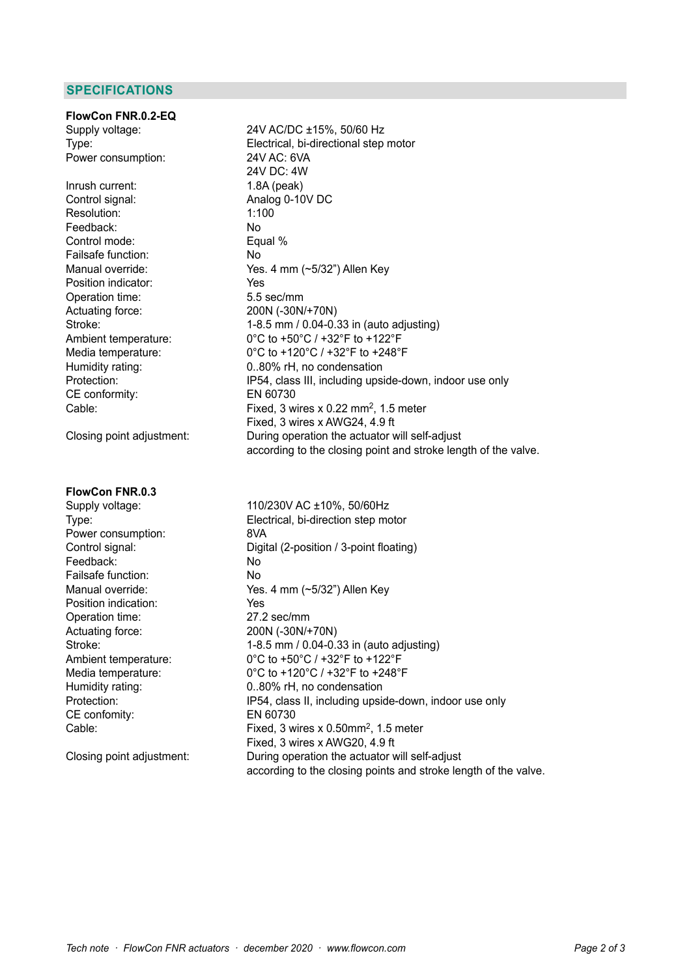## **SPECIFICATIONS**

**FlowCon FNR.0.2-EQ** Power consumption: 24V AC: 6VA

Inrush current: 1.8A (peak)<br>Control signal: 1.8A (peak) Resolution: Feedback: No Control mode: Equal % Failsafe function: No Position indicator: The Messing School of the Messing School and The Vesting School and The Vesting School and The Vesting School and The Vesting School and The Vesting School and The Vesting School and The Vesting School Operation time: 5.5 sec/mm<br>Actuating force: 200N (-30N) Actuating force: 200N (-30N/+70N)<br>Stroke: 1-8.5 mm / 0.04-0. CE conformity: EN 60730

#### **FlowCon FNR.0.3**

Power consumption: 8VA Feedback: No Failsafe function: No Position indication: Yes Operation time: 27.2 sec/mm Actuating force: 200N (-30N/+70N) CE confomity: EN 60730

Supply voltage: 24V AC/DC ±15%, 50/60 Hz Type: Electrical, bi-directional step motor 24V DC: 4W Analog 0-10V DC<br> $1:100$ Manual override: Yes. 4 mm (~5/32") Allen Key 1-8.5 mm /  $0.04$ -0.33 in (auto adjusting) Ambient temperature: 0°C to +50°C / +32°F to +122°F Media temperature: 0°C to +120°C / +32°F to +248°F Humidity rating: 0..80% rH, no condensation Protection: IP54, class III, including upside-down, indoor use only Cable: Fixed, 3 wires x 0.22 mm<sup>2</sup>, 1.5 meter Fixed, 3 wires x AWG24, 4.9 ft<br>Closing point adjustment: During operation the actuator v During operation the actuator will self-adjust according to the closing point and stroke length of the valve.

Supply voltage: 110/230V AC ±10%, 50/60Hz Type: Electrical, bi-direction step motor Control signal: Digital (2-position / 3-point floating) Manual override: Ves. 4 mm (~5/32") Allen Key Stroke: 1-8.5 mm / 0.04-0.33 in (auto adjusting) Ambient temperature: 0°C to +50°C / +32°F to +122°F Media temperature: 0°C to +120°C / +32°F to +248°F Humidity rating: 0..80% rH, no condensation Protection: **IP54, class II, including upside-down, indoor use only** Cable: Fixed, 3 wires x 0.50mm2, 1.5 meter Fixed, 3 wires x AWG20, 4.9 ft Closing point adjustment: During operation the actuator will self-adjust according to the closing points and stroke length of the valve.